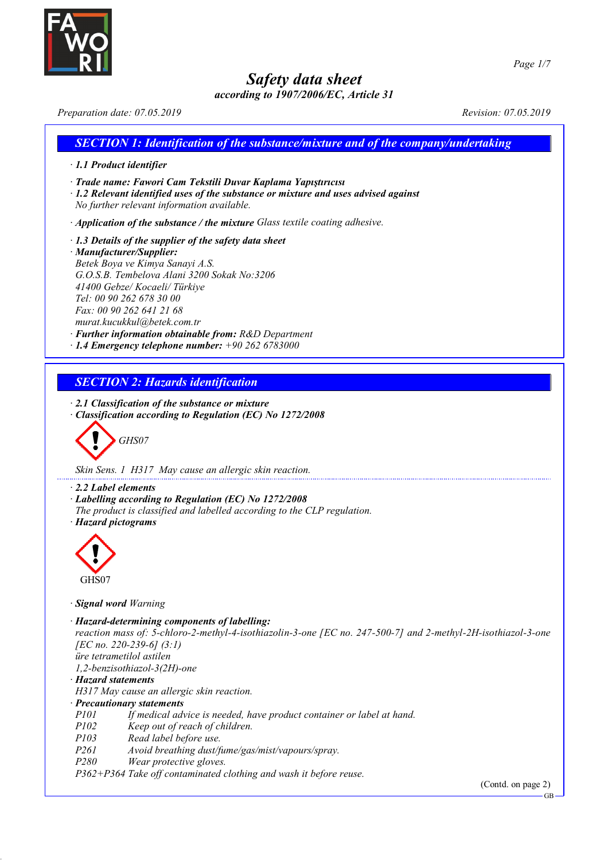

*according to 1907/2006/EC, Article 31 Preparation date: 07.05.2019 Revision: 07.05.2019*

| $\cdot$ 1.1 Product identifier                                                                                                                                                                                                                                                                     |                                                                                                                                                            |  |
|----------------------------------------------------------------------------------------------------------------------------------------------------------------------------------------------------------------------------------------------------------------------------------------------------|------------------------------------------------------------------------------------------------------------------------------------------------------------|--|
| No further relevant information available.                                                                                                                                                                                                                                                         | · Trade name: Fawori Cam Tekstili Duvar Kaplama Yapıştırıcısı<br>$\cdot$ 1.2 Relevant identified uses of the substance or mixture and uses advised against |  |
|                                                                                                                                                                                                                                                                                                    | $\cdot$ Application of the substance / the mixture Glass textile coating adhesive.                                                                         |  |
| $\cdot$ 1.3 Details of the supplier of the safety data sheet<br>· Manufacturer/Supplier:<br>Betek Boya ve Kimya Sanayi A.S.<br>G.O.S.B. Tembelova Alani 3200 Sokak No:3206<br>41400 Gebze/ Kocaeli/ Türkiye<br>Tel: 00 90 262 678 30 00<br>Fax: 00 90 262 641 21 68<br>murat.kucukkul@betek.com.tr | · Further information obtainable from: R&D Department<br>$\cdot$ 1.4 Emergency telephone number: +90 262 6783000                                           |  |
| <b>SECTION 2: Hazards identification</b>                                                                                                                                                                                                                                                           |                                                                                                                                                            |  |
|                                                                                                                                                                                                                                                                                                    | $\cdot$ 2.1 Classification of the substance or mixture                                                                                                     |  |

*Skin Sens. 1 H317 May cause an allergic skin reaction.*

- *· 2.2 Label elements*
- *· Labelling according to Regulation (EC) No 1272/2008*
- *The product is classified and labelled according to the CLP regulation. · Hazard pictograms*



*· Signal word Warning*

*· Hazard-determining components of labelling:*

*reaction mass of: 5-chloro-2-methyl-4-isothiazolin-3-one [EC no. 247-500-7] and 2-methyl-2H-isothiazol-3-one [EC no. 220-239-6] (3:1) üre tetrametilol astilen*

*1,2-benzisothiazol-3(2H)-one*

*· Hazard statements*

*H317 May cause an allergic skin reaction.*

- *· Precautionary statements*
- *P101 If medical advice is needed, have product container or label at hand.*
- *P102 Keep out of reach of children.*
- *P103 Read label before use.*
- *P261 Avoid breathing dust/fume/gas/mist/vapours/spray.*
- *P280 Wear protective gloves.*

*P362+P364 Take off contaminated clothing and wash it before reuse.*

(Contd. on page 2)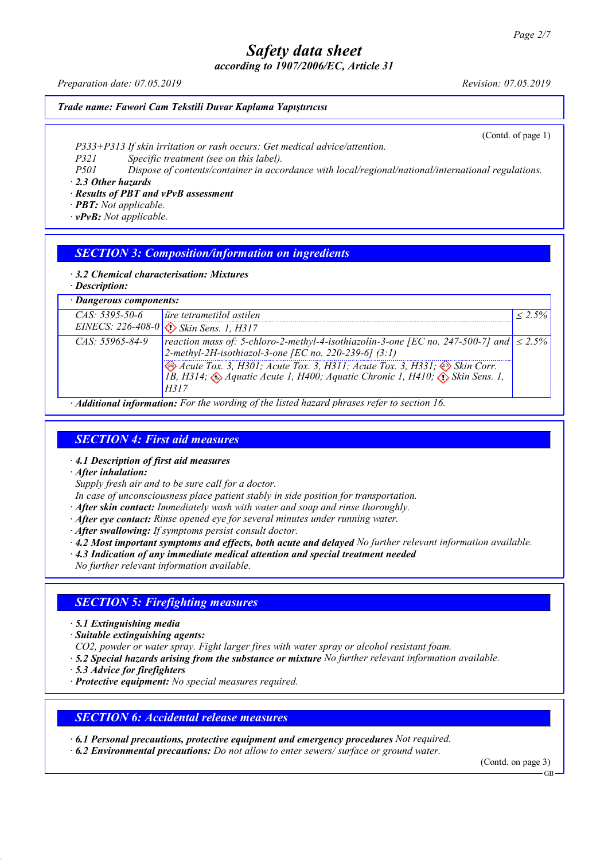*according to 1907/2006/EC, Article 31*

*Preparation date: 07.05.2019 Revision: 07.05.2019*

#### *Trade name: Fawori Cam Tekstili Duvar Kaplama Yapıştırıcısı*

(Contd. of page 1)

*P333+P313 If skin irritation or rash occurs: Get medical advice/attention.*

*P321 Specific treatment (see on this label).*

*P501 Dispose of contents/container in accordance with local/regional/national/international regulations.*

*· 2.3 Other hazards*

*· Results of PBT and vPvB assessment*

*· PBT: Not applicable.*

*· vPvB: Not applicable.*

### *SECTION 3: Composition/information on ingredients*

*· 3.2 Chemical characterisation: Mixtures*

*· Description:*

| · Dangerous components: |                                                                                                                                                                                                                                    |             |  |  |
|-------------------------|------------------------------------------------------------------------------------------------------------------------------------------------------------------------------------------------------------------------------------|-------------|--|--|
| $CAS: 5395-50-6$        | ire tetrametilol astilen                                                                                                                                                                                                           | $1 < 2.5\%$ |  |  |
|                         | EINECS: 226-408-0 3 Skin Sens. 1, H317                                                                                                                                                                                             |             |  |  |
| $CAS: 55965 - 84 - 9$   | reaction mass of: 5-chloro-2-methyl-4-isothiazolin-3-one [EC no. 247-500-7] and $  \leq 2.5\%$<br>2-methyl-2H-isothiazol-3-one [EC no. 220-239-6] $(3:1)$                                                                          |             |  |  |
|                         | Acute Tox. 3, H301; Acute Tox. 3, H311; Acute Tox. 3, H331; $\diamondsuit$ Skin Corr.<br>1B, H314; $\diamondsuit$ Aquatic Acute 1, H400; Aquatic Chronic 1, H410; $\diamondsuit$ Skin Sens. 1,<br>H317                             |             |  |  |
|                         | $\lambda$ if $P$ and $P$ and $P$ and $P$ and $P$ and $P$ and $P$ and $P$ and $P$ and $P$ and $P$ and $P$ and $P$ and $P$ and $P$ and $P$ and $P$ and $P$ and $P$ and $P$ and $P$ and $P$ and $P$ and $P$ and $P$ and $P$ and $P$ a |             |  |  |

*· Additional information: For the wording of the listed hazard phrases refer to section 16.*

## *SECTION 4: First aid measures*

*· 4.1 Description of first aid measures*

*· After inhalation:*

*Supply fresh air and to be sure call for a doctor.*

*In case of unconsciousness place patient stably in side position for transportation.*

- *· After skin contact: Immediately wash with water and soap and rinse thoroughly.*
- *· After eye contact: Rinse opened eye for several minutes under running water.*
- *· After swallowing: If symptoms persist consult doctor.*

*· 4.2 Most important symptoms and effects, both acute and delayed No further relevant information available.*

*· 4.3 Indication of any immediate medical attention and special treatment needed*

*No further relevant information available.*

## *SECTION 5: Firefighting measures*

*· 5.1 Extinguishing media*

*· Suitable extinguishing agents:*

*CO2, powder or water spray. Fight larger fires with water spray or alcohol resistant foam.*

*· 5.2 Special hazards arising from the substance or mixture No further relevant information available.*

*· 5.3 Advice for firefighters*

*· Protective equipment: No special measures required.*

## *SECTION 6: Accidental release measures*

*· 6.1 Personal precautions, protective equipment and emergency procedures Not required.*

*· 6.2 Environmental precautions: Do not allow to enter sewers/ surface or ground water.*

(Contd. on page 3)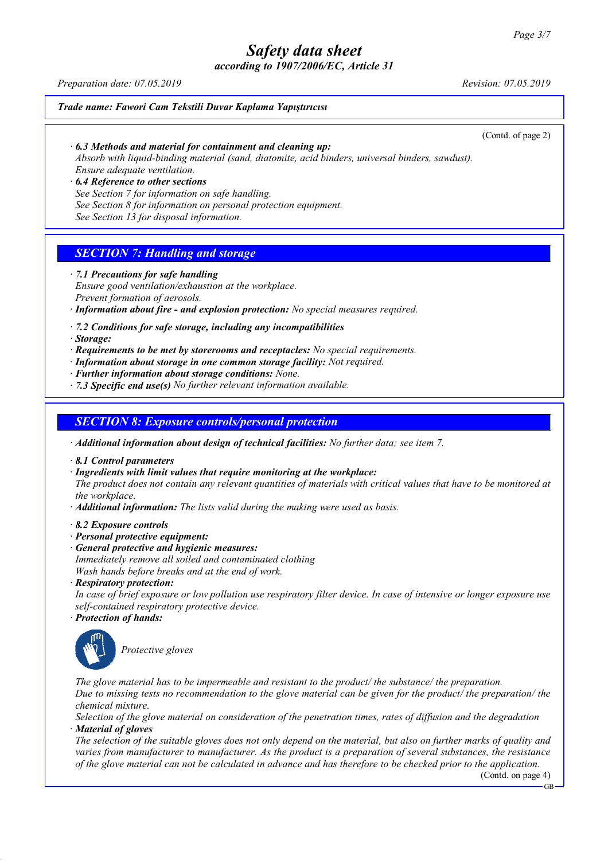*according to 1907/2006/EC, Article 31*

*Preparation date: 07.05.2019 Revision: 07.05.2019*

#### *Trade name: Fawori Cam Tekstili Duvar Kaplama Yapıştırıcısı*

(Contd. of page 2)

#### *· 6.3 Methods and material for containment and cleaning up:*

*Absorb with liquid-binding material (sand, diatomite, acid binders, universal binders, sawdust). Ensure adequate ventilation.*

*· 6.4 Reference to other sections See Section 7 for information on safe handling. See Section 8 for information on personal protection equipment. See Section 13 for disposal information.*

### *SECTION 7: Handling and storage*

*· 7.1 Precautions for safe handling*

*Ensure good ventilation/exhaustion at the workplace. Prevent formation of aerosols.*

*· Information about fire - and explosion protection: No special measures required.*

*· 7.2 Conditions for safe storage, including any incompatibilities*

*· Storage:*

- *· Requirements to be met by storerooms and receptacles: No special requirements.*
- *· Information about storage in one common storage facility: Not required.*

*· Further information about storage conditions: None.*

*· 7.3 Specific end use(s) No further relevant information available.*

#### *SECTION 8: Exposure controls/personal protection*

*· Additional information about design of technical facilities: No further data; see item 7.*

*· 8.1 Control parameters*

*· Ingredients with limit values that require monitoring at the workplace:*

The product does not contain any relevant quantities of materials with critical values that have to be monitored at *the workplace.*

*· Additional information: The lists valid during the making were used as basis.*

*· 8.2 Exposure controls*

- *· Personal protective equipment:*
- *· General protective and hygienic measures:*

*Immediately remove all soiled and contaminated clothing Wash hands before breaks and at the end of work.*

*· Respiratory protection:*

In case of brief exposure or low pollution use respiratory filter device. In case of intensive or longer exposure use *self-contained respiratory protective device.*

*· Protection of hands:*



*Protective gloves*

*The glove material has to be impermeable and resistant to the product/ the substance/ the preparation.* Due to missing tests no recommendation to the glove material can be given for the product/ the preparation/ the *chemical mixture.*

Selection of the glove material on consideration of the penetration times, rates of diffusion and the degradation *· Material of gloves*

The selection of the suitable gloves does not only depend on the material, but also on further marks of quality and *varies from manufacturer to manufacturer. As the product is a preparation of several substances, the resistance* of the glove material can not be calculated in advance and has therefore to be checked prior to the application.

(Contd. on page 4)

GB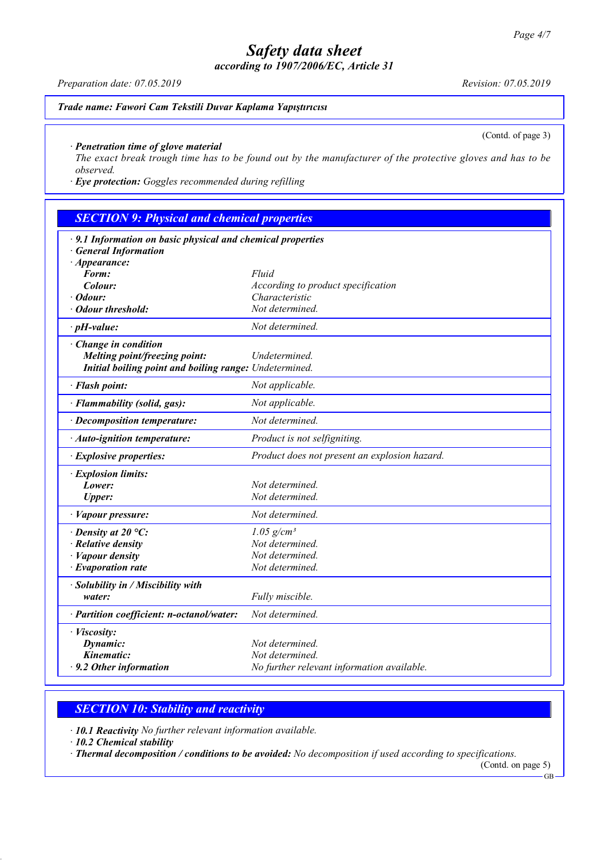*according to 1907/2006/EC, Article 31*

*Trade name: Fawori Cam Tekstili Duvar Kaplama Yapıştırıcısı*

(Contd. of page 3)

#### *· Penetration time of glove material*

The exact break trough time has to be found out by the manufacturer of the protective gloves and has to be *observed.*

*· Eye protection: Goggles recommended during refilling*

| <b>SECTION 9: Physical and chemical properties</b>                                              |                                                      |  |  |  |
|-------------------------------------------------------------------------------------------------|------------------------------------------------------|--|--|--|
| $\cdot$ 9.1 Information on basic physical and chemical properties<br><b>General Information</b> |                                                      |  |  |  |
| $\cdot$ Appearance:                                                                             |                                                      |  |  |  |
| Form:                                                                                           | Fluid                                                |  |  |  |
| Colour:<br>Odour:                                                                               | According to product specification<br>Characteristic |  |  |  |
| <b>Odour threshold:</b>                                                                         | Not determined.                                      |  |  |  |
|                                                                                                 |                                                      |  |  |  |
| $\cdot$ pH-value:                                                                               | Not determined.                                      |  |  |  |
| Change in condition<br>Melting point/freezing point:                                            | Undetermined.                                        |  |  |  |
| Initial boiling point and boiling range: Undetermined.                                          |                                                      |  |  |  |
| · Flash point:                                                                                  | Not applicable.                                      |  |  |  |
| · Flammability (solid, gas):                                                                    | Not applicable.                                      |  |  |  |
| · Decomposition temperature:                                                                    | Not determined.                                      |  |  |  |
| · Auto-ignition temperature:                                                                    | Product is not selfigniting.                         |  |  |  |
| · Explosive properties:                                                                         | Product does not present an explosion hazard.        |  |  |  |
| · Explosion limits:                                                                             |                                                      |  |  |  |
| Lower:                                                                                          | Not determined.                                      |  |  |  |
| <b>Upper:</b>                                                                                   | Not determined.                                      |  |  |  |
| · Vapour pressure:                                                                              | Not determined.                                      |  |  |  |
| $\cdot$ Density at 20 °C:                                                                       | $1.05$ g/cm <sup>3</sup>                             |  |  |  |
| $\cdot$ Relative density                                                                        | Not determined.                                      |  |  |  |
| · Vapour density                                                                                | Not determined.                                      |  |  |  |
| $\cdot$ Evaporation rate                                                                        | Not determined.                                      |  |  |  |
| · Solubility in / Miscibility with                                                              |                                                      |  |  |  |
| water:                                                                                          | Fully miscible.                                      |  |  |  |
| · Partition coefficient: n-octanol/water:                                                       | Not determined.                                      |  |  |  |
| · Viscosity:                                                                                    |                                                      |  |  |  |
| Dynamic:                                                                                        | Not determined.                                      |  |  |  |
| Kinematic:                                                                                      | Not determined.                                      |  |  |  |
| $\cdot$ 9.2 Other information                                                                   | No further relevant information available.           |  |  |  |

#### *SECTION 10: Stability and reactivity*

*· 10.1 Reactivity No further relevant information available.*

*· 10.2 Chemical stability*

*· Thermal decomposition / conditions to be avoided: No decomposition if used according to specifications.*

GB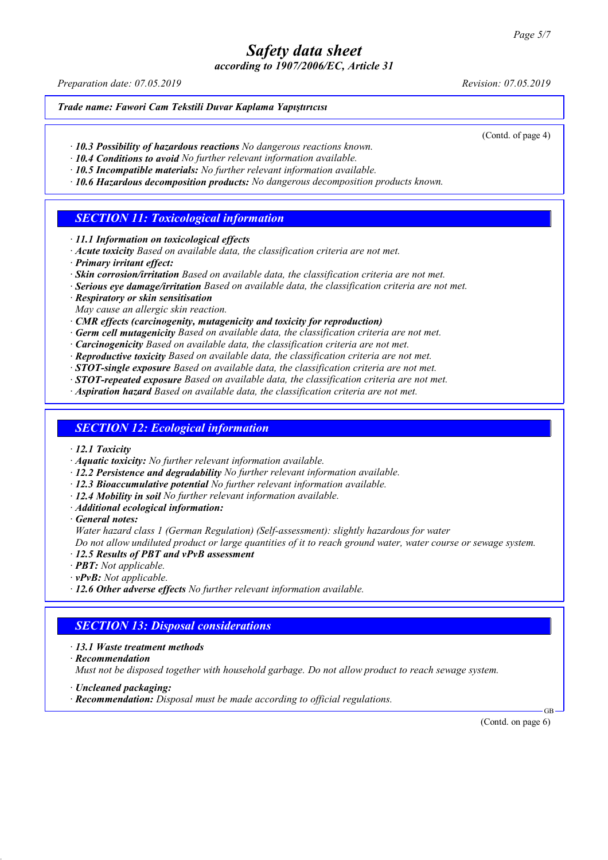*according to 1907/2006/EC, Article 31*

*Preparation date: 07.05.2019 Revision: 07.05.2019*

#### *Trade name: Fawori Cam Tekstili Duvar Kaplama Yapıştırıcısı*

(Contd. of page 4)

- *· 10.3 Possibility of hazardous reactions No dangerous reactions known.*
- *· 10.4 Conditions to avoid No further relevant information available.*
- *· 10.5 Incompatible materials: No further relevant information available.*
- *· 10.6 Hazardous decomposition products: No dangerous decomposition products known.*

### *SECTION 11: Toxicological information*

- *· 11.1 Information on toxicological effects*
- *· Acute toxicity Based on available data, the classification criteria are not met.*
- *· Primary irritant effect:*
- *· Skin corrosion/irritation Based on available data, the classification criteria are not met.*
- *· Serious eye damage/irritation Based on available data, the classification criteria are not met.*
- *· Respiratory or skin sensitisation*
- *May cause an allergic skin reaction.*
- *· CMR effects (carcinogenity, mutagenicity and toxicity for reproduction)*
- *· Germ cell mutagenicity Based on available data, the classification criteria are not met.*
- *· Carcinogenicity Based on available data, the classification criteria are not met.*
- *· Reproductive toxicity Based on available data, the classification criteria are not met.*
- *· STOT-single exposure Based on available data, the classification criteria are not met.*
- *· STOT-repeated exposure Based on available data, the classification criteria are not met.*
- *· Aspiration hazard Based on available data, the classification criteria are not met.*

## *SECTION 12: Ecological information*

- *· 12.1 Toxicity*
- *· Aquatic toxicity: No further relevant information available.*
- *· 12.2 Persistence and degradability No further relevant information available.*
- *· 12.3 Bioaccumulative potential No further relevant information available.*
- *· 12.4 Mobility in soil No further relevant information available.*
- *· Additional ecological information:*
- *· General notes:*
	- *Water hazard class 1 (German Regulation) (Self-assessment): slightly hazardous for water*

Do not allow undiluted product or large quantities of it to reach ground water, water course or sewage system.

- *· 12.5 Results of PBT and vPvB assessment*
- *· PBT: Not applicable.*
- *· vPvB: Not applicable.*
- *· 12.6 Other adverse effects No further relevant information available.*

#### *SECTION 13: Disposal considerations*

- *· 13.1 Waste treatment methods*
- *· Recommendation*

*Must not be disposed together with household garbage. Do not allow product to reach sewage system.*

- *· Uncleaned packaging:*
- *· Recommendation: Disposal must be made according to official regulations.*

GB (Contd. on page 6)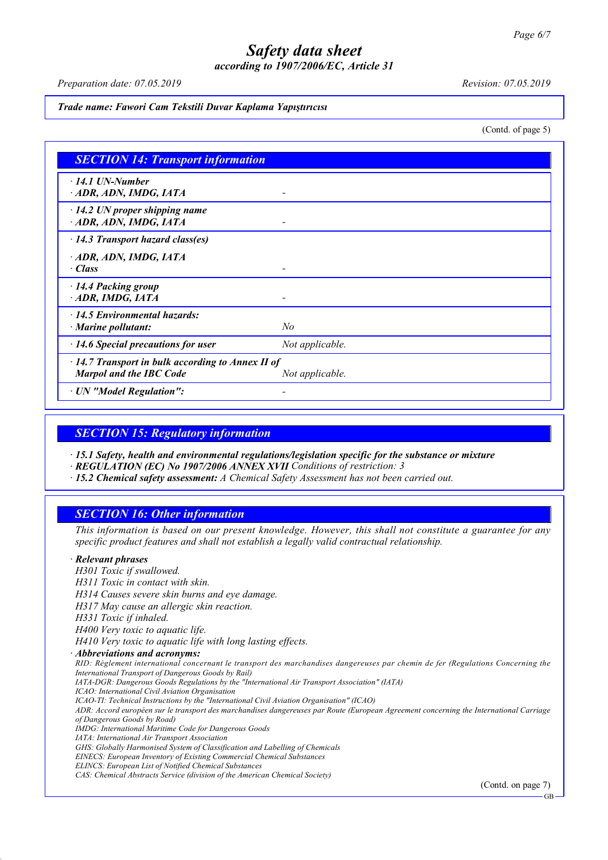*according to 1907/2006/EC, Article 31*

*Preparation date: 07.05.2019 Revision: 07.05.2019*

#### *Trade name: Fawori Cam Tekstili Duvar Kaplama Yapıştırıcısı*

(Contd. of page 5)

| <b>SECTION 14: Transport information</b>                                                  |                 |  |
|-------------------------------------------------------------------------------------------|-----------------|--|
| $\cdot$ 14.1 UN-Number<br>ADR, ADN, IMDG, IATA                                            |                 |  |
| $\cdot$ 14.2 UN proper shipping name<br>ADR, ADN, IMDG, IATA                              |                 |  |
| $\cdot$ 14.3 Transport hazard class(es)                                                   |                 |  |
| ADR, ADN, IMDG, IATA<br>$\cdot$ Class                                                     |                 |  |
| · 14.4 Packing group<br>ADR, IMDG, IATA                                                   |                 |  |
| $\cdot$ 14.5 Environmental hazards:<br>$\cdot$ Marine pollutant:                          | No              |  |
| $\cdot$ 14.6 Special precautions for user                                                 | Not applicable. |  |
| $\cdot$ 14.7 Transport in bulk according to Annex II of<br><b>Marpol and the IBC Code</b> | Not applicable. |  |
| · UN "Model Regulation":                                                                  |                 |  |

## *SECTION 15: Regulatory information*

*· 15.1 Safety, health and environmental regulations/legislation specific for the substance or mixture*

*· REGULATION (EC) No 1907/2006 ANNEX XVII Conditions of restriction: 3*

*· 15.2 Chemical safety assessment: A Chemical Safety Assessment has not been carried out.*

## *SECTION 16: Other information*

This information is based on our present knowledge. However, this shall not constitute a guarantee for any *specific product features and shall not establish a legally valid contractual relationship.*

### *· Relevant phrases*

*H301 Toxic if swallowed. H311 Toxic in contact with skin. H314 Causes severe skin burns and eye damage. H317 May cause an allergic skin reaction. H331 Toxic if inhaled. H400 Very toxic to aquatic life. H410 Very toxic to aquatic life with long lasting effects. · Abbreviations and acronyms:* RID: Règlement international concernant le transport des marchandises dangereuses par chemin de fer (Regulations Concerning the *International Transport of Dangerous Goods by Rail) IATA-DGR: Dangerous Goods Regulations by the "International Air Transport Association" (IATA) ICAO: International Civil Aviation Organisation ICAO-TI: Technical Instructions by the "International Civil Aviation Organisation" (ICAO)* ADR: Accord européen sur le transport des marchandises dangereuses par Route (European Agreement concerning the International Carriage *of Dangerous Goods by Road) IMDG: International Maritime Code for Dangerous Goods IATA: International Air Transport Association GHS: Globally Harmonised System of Classification and Labelling of Chemicals EINECS: European Inventory of Existing Commercial Chemical Substances ELINCS: European List of Notified Chemical Substances CAS: Chemical Abstracts Service (division of the American Chemical Society)* (Contd. on page 7)

GB